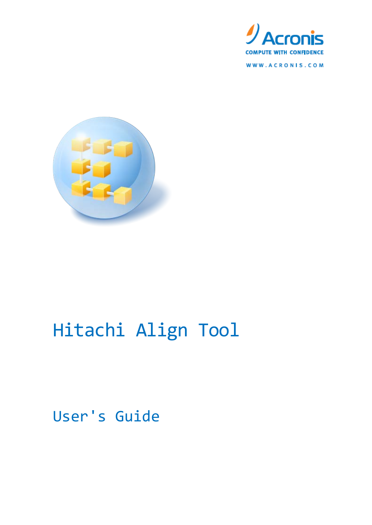

WWW.ACRONIS.COM



# Hitachi Align Tool

User's Guide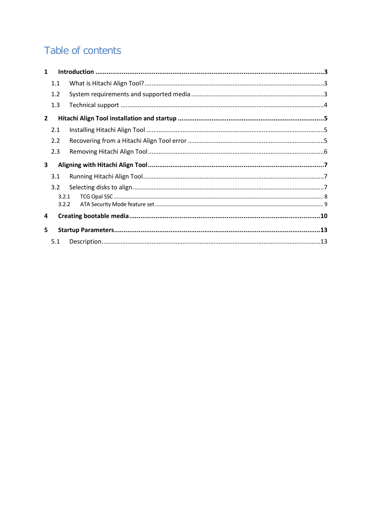### Table of contents

| $\mathbf{1}$   |       |  |
|----------------|-------|--|
|                | 1.1   |  |
|                | 1.2   |  |
|                | 1.3   |  |
| $\overline{2}$ |       |  |
|                | 2.1   |  |
|                | 2.2   |  |
|                | 2.3   |  |
| 3              |       |  |
|                | 3.1   |  |
|                | 3.2   |  |
|                | 3.2.1 |  |
|                | 3.2.2 |  |
| 4              |       |  |
| 5              |       |  |
|                | 5.1   |  |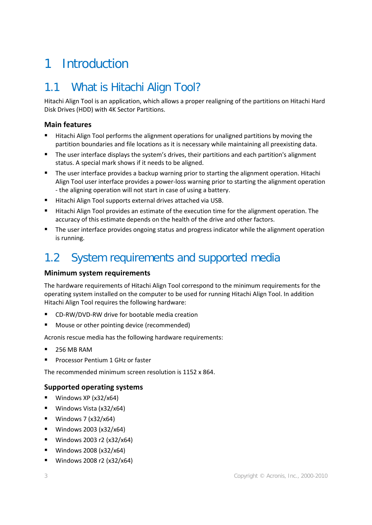# <span id="page-2-0"></span>1 Introduction

### <span id="page-2-1"></span>1.1 What is Hitachi Align Tool?

Hitachi Align Tool is an application, which allows a proper realigning of the partitions on Hitachi Hard Disk Drives (HDD) with 4K Sector Partitions.

#### **Main features**

- Hitachi Align Tool performs the alignment operations for unaligned partitions by moving the partition boundaries and file locations as it is necessary while maintaining all preexisting data.
- The user interface displays the system's drives, their partitions and each partition's alignment status. A special mark shows if it needs to be aligned.
- The user interface provides a backup warning prior to starting the alignment operation. Hitachi Align Tool user interface provides a power-loss warning prior to starting the alignment operation - the aligning operation will not start in case of using a battery.
- Hitachi Align Tool supports external drives attached via USB.
- **Hitachi Align Tool provides an estimate of the execution time for the alignment operation. The** accuracy of this estimate depends on the health of the drive and other factors.
- The user interface provides ongoing status and progress indicator while the alignment operation is running.

### <span id="page-2-2"></span>1.2 System requirements and supported media

#### **Minimum system requirements**

The hardware requirements of Hitachi Align Tool correspond to the minimum requirements for the operating system installed on the computer to be used for running Hitachi Align Tool. In addition Hitachi Align Tool requires the following hardware:

- CD-RW/DVD-RW drive for bootable media creation
- Mouse or other pointing device (recommended)

Acronis rescue media has the following hardware requirements:

- 256 MB RAM
- Processor Pentium 1 GHz or faster

The recommended minimum screen resolution is 1152 x 864.

#### **Supported operating systems**

- $\blacksquare$  Windows XP (x32/x64)
- Windows Vista (x32/x64)
- $W$ indows 7 (x32/x64)
- Windows 2003 (x32/x64)
- Windows 2003 r2 (x32/x64)
- Windows 2008 (x32/x64)
- Windows 2008 r2 (x32/x64)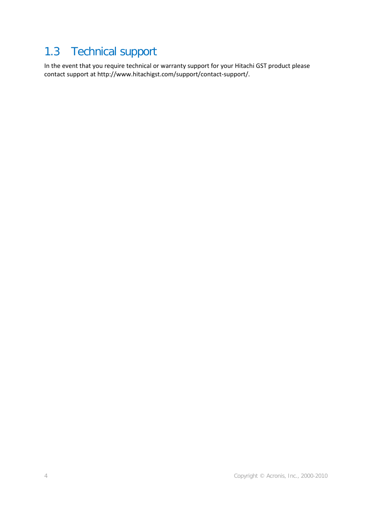### <span id="page-3-0"></span>1.3 Technical support

In the event that you require technical or warranty support for your Hitachi GST product please contact support at http://www.hitachigst.com/support/contact-support/.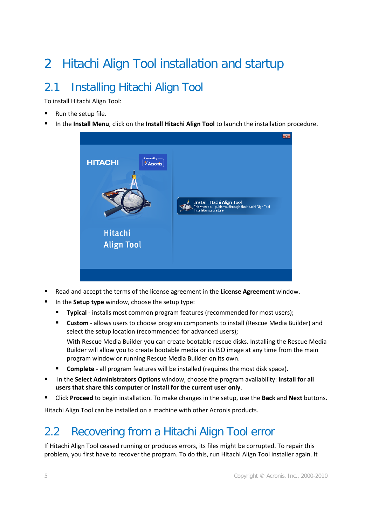# <span id="page-4-0"></span>2 Hitachi Align Tool installation and startup

## <span id="page-4-1"></span>2.1 Installing Hitachi Align Tool

To install Hitachi Align Tool:

- Run the setup file.
- In the **Install Menu**, click on the **Install Hitachi Align Tool** to launch the installation procedure.



- Read and accept the terms of the license agreement in the **License Agreement** window.
- In the **Setup type** window, choose the setup type:
	- **Typical** installs most common program features (recommended for most users);
	- **Custom** allows users to choose program components to install (Rescue Media Builder) and select the setup location (recommended for advanced users); With Rescue Media Builder you can create bootable rescue disks. Installing the Rescue Media

Builder will allow you to create bootable media or its ISO image at any time from the main program window or running Rescue Media Builder on its own.

- **Complete** all program features will be installed (requires the most disk space).
- In the **Select Administrators Options** window, choose the program availability: **Install for all users that share this computer** or **Install for the current user only**.
- Click **Proceed** to begin installation. To make changes in the setup, use the **Back** and **Next** buttons.

Hitachi Align Tool can be installed on a machine with other Acronis products.

### <span id="page-4-2"></span>2.2 Recovering from a Hitachi Align Tool error

If Hitachi Align Tool ceased running or produces errors, its files might be corrupted. To repair this problem, you first have to recover the program. To do this, run Hitachi Align Tool installer again. It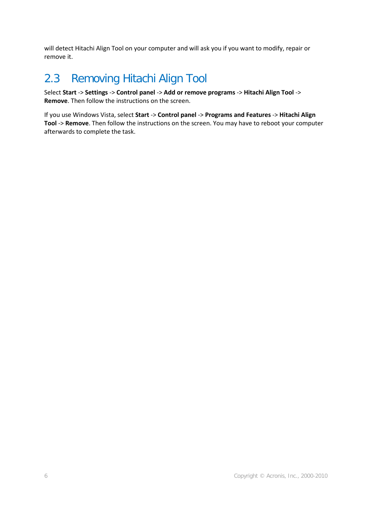will detect Hitachi Align Tool on your computer and will ask you if you want to modify, repair or remove it.

### <span id="page-5-0"></span>2.3 Removing Hitachi Align Tool

Select **Start** -> **Settings** -> **Control panel** -> **Add or remove programs** -> **Hitachi Align Tool** -> **Remove**. Then follow the instructions on the screen.

If you use Windows Vista, select **Start** -> **Control panel** -> **Programs and Features** -> **Hitachi Align Tool** -> **Remove**. Then follow the instructions on the screen. You may have to reboot your computer afterwards to complete the task.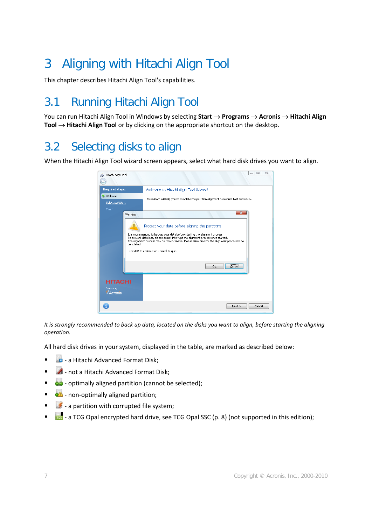# <span id="page-6-0"></span>3 Aligning with Hitachi Align Tool

This chapter describes Hitachi Align Tool's capabilities.

### <span id="page-6-1"></span>3.1 Running Hitachi Align Tool

You can run Hitachi Align Tool in Windows by selecting **Start** → **Programs** → **Acronis** → **Hitachi Align Tool** → **Hitachi Align Tool** or by clicking on the appropriate shortcut on the desktop.

### <span id="page-6-2"></span>3.2 Selecting disks to align

When the Hitachi Align Tool wizard screen appears, select what hard disk drives you want to align.



*It is strongly recommended to back up data, located on the disks you want to align, before starting the aligning operation.*

All hard disk drives in your system, displayed in the table, are marked as described below:

- **-** a Hitachi Advanced Format Disk;
- **4** not a Hitachi Advanced Format Disk;
- **-**  $\bullet$  optimally aligned partition (cannot be selected);
- **1 4 h** non-optimally aligned partition;
- $\bullet$  a partition with corrupted file system;
- **100** a TCG Opal encrypted hard drive, see TCG Opal SSC (p. [8\)](#page-7-0) (not supported in this edition);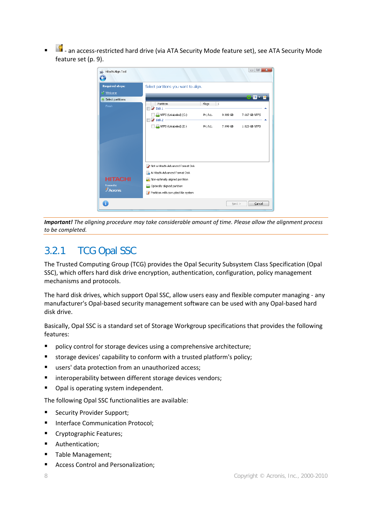**1.** an access-restricted hard drive (via ATA Security Mode feature set), see ATA Security Mode feature set (p[. 9\)](#page-8-0).



*Important! The aligning procedure may take considerable amount of time. Please allow the alignment process to be completed.*

### <span id="page-7-0"></span>3.2.1 TCG Opal SSC

The Trusted Computing Group (TCG) provides the Opal Security Subsystem Class Specification (Opal SSC), which offers hard disk drive encryption, authentication, configuration, policy management mechanisms and protocols.

The hard disk drives, which support Opal SSC, allow users easy and flexible computer managing - any manufacturer's Opal-based security management software can be used with any Opal-based hard disk drive.

Basically, Opal SSC is a standard set of Storage Workgroup specifications that provides the following features:

- policy control for storage devices using a comprehensive architecture;
- storage devices' capability to conform with a trusted platform's policy;
- users' data protection from an unauthorized access;
- **EXECT** interoperability between different storage devices vendors;
- Opal is operating system independent.

The following Opal SSC functionalities are available:

- Security Provider Support;
- Interface Communication Protocol;
- Cryptographic Features;
- **Authentication;**
- Table Management;
- **Access Control and Personalization;**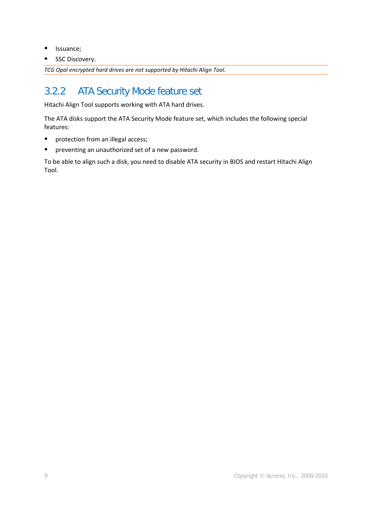- **I** Issuance;
- SSC Discovery.

*TCG Opal encrypted hard drives are not supported by Hitachi Align Tool.*

### <span id="page-8-0"></span>3.2.2 ATA Security Mode feature set

Hitachi Align Tool supports working with ATA hard drives.

The ATA disks support the ATA Security Mode feature set, which includes the following special features:

- **P** protection from an illegal access;
- **P** preventing an unauthorized set of a new password.

To be able to align such a disk, you need to disable ATA security in BIOS and restart Hitachi Align Tool.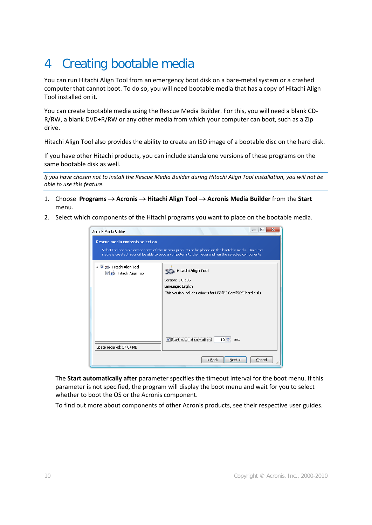# <span id="page-9-0"></span>4 Creating bootable media

You can run Hitachi Align Tool from an emergency boot disk on a bare-metal system or a crashed computer that cannot boot. To do so, you will need bootable media that has a copy of Hitachi Align Tool installed on it.

You can create bootable media using the Rescue Media Builder. For this, you will need a blank CD-R/RW, a blank DVD+R/RW or any other media from which your computer can boot, such as a Zip drive.

Hitachi Align Tool also provides the ability to create an ISO image of a bootable disc on the hard disk.

If you have other Hitachi products, you can include standalone versions of these programs on the same bootable disk as well.

*If you have chosen not to install the Rescue Media Builder during Hitachi Align Tool installation, you will not be able to use this feature.*

- 1. Choose **Programs** → **Acronis** → **Hitachi Align Tool** → **Acronis Media Builder** from the **Start**  menu.
- 2. Select which components of the Hitachi programs you want to place on the bootable media.

| Acronis Media Builder<br><b>Rescue media contents selection</b> | □<br>Select the bootable components of the Acronis products to be placed on the bootable media. Once the<br>media is created, you will be able to boot a computer into the media and run the selected components. |
|-----------------------------------------------------------------|-------------------------------------------------------------------------------------------------------------------------------------------------------------------------------------------------------------------|
| 4 3 5 Hitachi Align Tool<br>Fitachi Align Tool                  | Hitachi Align Tool<br>Version: 1.0.105<br>Language: English<br>This version includes drivers for USB/PC Card/SCSI hard disks.                                                                                     |
| Space required: 27.04 MB                                        | $10$ $\approx$ sec.<br>Start automatically after:<br>V                                                                                                                                                            |
|                                                                 | $<$ Back<br>Next<br>Cancel<br>л.                                                                                                                                                                                  |

The **Start automatically after** parameter specifies the timeout interval for the boot menu. If this parameter is not specified, the program will display the boot menu and wait for you to select whether to boot the OS or the Acronis component.

To find out more about components of other Acronis products, see their respective user guides.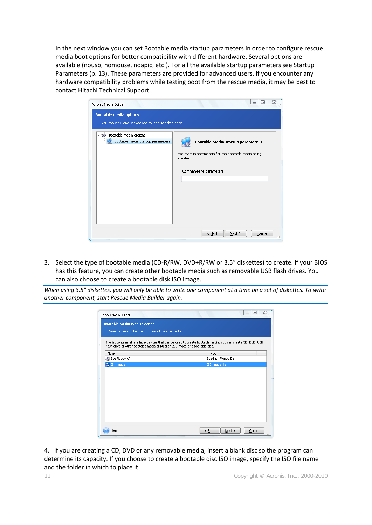In the next window you can set Bootable media startup parameters in order to configure rescue media boot options for better compatibility with different hardware. Several options are available (nousb, nomouse, noapic, etc.). For all the available startup parameters see Startup Parameters (p[. 13\)](#page-12-0). These parameters are provided for advanced users. If you encounter any hardware compatibility problems while testing boot from the rescue media, it may be best to contact Hitachi Technical Support.

| Acronis Media Builder                                | $\Sigma$<br>▣<br>$\equiv$                                       |
|------------------------------------------------------|-----------------------------------------------------------------|
| <b>Bootable media options</b>                        |                                                                 |
| You can view and set options for the selected items. |                                                                 |
| Bootable media options                               |                                                                 |
| Bootable media startup parameters                    | Bootable media startup parameters                               |
|                                                      | Set startup parameters for the bootable media being<br>created. |
|                                                      | Command-line parameters:                                        |
|                                                      |                                                                 |
|                                                      |                                                                 |
|                                                      |                                                                 |
|                                                      |                                                                 |
|                                                      |                                                                 |
|                                                      | $<$ Back<br>$N$ ext ><br>Cancel<br>                             |

3. Select the type of bootable media (CD-R/RW, DVD+R/RW or 3.5" diskettes) to create. If your BIOS has this feature, you can create other bootable media such as removable USB flash drives. You can also choose to create a bootable disk ISO image.

*When using 3.5" diskettes, you will only be able to write one component at a time on a set of diskettes. To write another component, start Rescue Media Builder again.*

| Acronis Media Builder                                                         | 回<br>Σζ<br>$\Box$                                                                                              |
|-------------------------------------------------------------------------------|----------------------------------------------------------------------------------------------------------------|
| <b>Bootable media type selection</b>                                          |                                                                                                                |
| Select a drive to be used to create bootable media.                           |                                                                                                                |
| flash drive or other bootable media or build an ISO image of a bootable disc. | The list contains all available devices that can be used to create bootable media. You can create CD, DVD, USB |
| Name                                                                          | Type                                                                                                           |
| 31/2 Floppy (A:)                                                              | 31/2-Inch Floppy Disk                                                                                          |
| <sup>150</sup> ISO image                                                      | ISO image file                                                                                                 |
|                                                                               |                                                                                                                |
|                                                                               |                                                                                                                |
|                                                                               |                                                                                                                |
|                                                                               |                                                                                                                |
|                                                                               |                                                                                                                |
|                                                                               |                                                                                                                |
|                                                                               |                                                                                                                |
|                                                                               |                                                                                                                |
|                                                                               |                                                                                                                |
|                                                                               |                                                                                                                |
|                                                                               |                                                                                                                |
| Help                                                                          | $<$ Back<br>Cancel<br>$Next$ >                                                                                 |
|                                                                               | .                                                                                                              |

4. If you are creating a CD, DVD or any removable media, insert a blank disc so the program can determine its capacity. If you choose to create a bootable disc ISO image, specify the ISO file name and the folder in which to place it.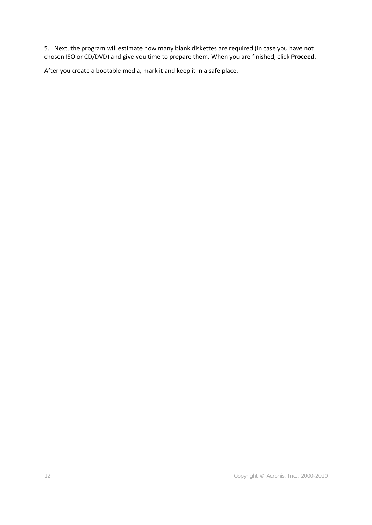5. Next, the program will estimate how many blank diskettes are required (in case you have not chosen ISO or CD/DVD) and give you time to prepare them. When you are finished, click **Proceed**.

After you create a bootable media, mark it and keep it in a safe place.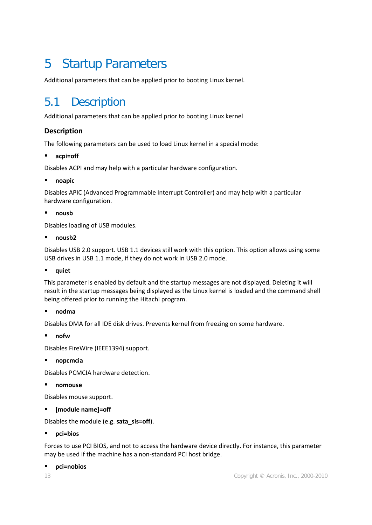# <span id="page-12-0"></span>5 Startup Parameters

Additional parameters that can be applied prior to booting Linux kernel.

### <span id="page-12-1"></span>5.1 Description

Additional parameters that can be applied prior to booting Linux kernel

#### **Description**

The following parameters can be used to load Linux kernel in a special mode:

#### **acpi=off**

Disables ACPI and may help with a particular hardware configuration.

#### **noapic**

Disables APIC (Advanced Programmable Interrupt Controller) and may help with a particular hardware configuration.

#### **nousb**

Disables loading of USB modules.

**nousb2**

Disables USB 2.0 support. USB 1.1 devices still work with this option. This option allows using some USB drives in USB 1.1 mode, if they do not work in USB 2.0 mode.

**quiet**

This parameter is enabled by default and the startup messages are not displayed. Deleting it will result in the startup messages being displayed as the Linux kernel is loaded and the command shell being offered prior to running the Hitachi program.

#### **nodma**

Disables DMA for all IDE disk drives. Prevents kernel from freezing on some hardware.

**nofw**

Disables FireWire (IEEE1394) support.

**nopcmcia**

Disables PCMCIA hardware detection.

**nomouse**

Disables mouse support.

**[module name]=off**

Disables the module (e.g. **sata\_sis=off**).

**pci=bios**

Forces to use PCI BIOS, and not to access the hardware device directly. For instance, this parameter may be used if the machine has a non-standard PCI host bridge.

#### **pci=nobios**